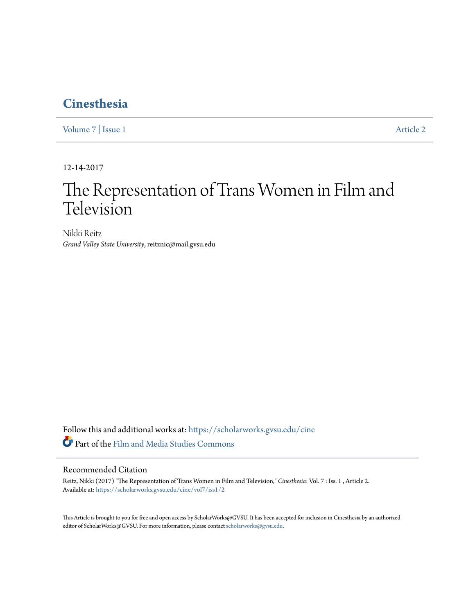# **[Cinesthesia](https://scholarworks.gvsu.edu/cine?utm_source=scholarworks.gvsu.edu%2Fcine%2Fvol7%2Fiss1%2F2&utm_medium=PDF&utm_campaign=PDFCoverPages)**

[Volume 7](https://scholarworks.gvsu.edu/cine/vol7?utm_source=scholarworks.gvsu.edu%2Fcine%2Fvol7%2Fiss1%2F2&utm_medium=PDF&utm_campaign=PDFCoverPages) | [Issue 1](https://scholarworks.gvsu.edu/cine/vol7/iss1?utm_source=scholarworks.gvsu.edu%2Fcine%2Fvol7%2Fiss1%2F2&utm_medium=PDF&utm_campaign=PDFCoverPages) [Article 2](https://scholarworks.gvsu.edu/cine/vol7/iss1/2?utm_source=scholarworks.gvsu.edu%2Fcine%2Fvol7%2Fiss1%2F2&utm_medium=PDF&utm_campaign=PDFCoverPages)

12-14-2017

# The Representation of Trans Women in Film and Television

Nikki Reitz *Grand Valley State University*, reitznic@mail.gvsu.edu

Follow this and additional works at: [https://scholarworks.gvsu.edu/cine](https://scholarworks.gvsu.edu/cine?utm_source=scholarworks.gvsu.edu%2Fcine%2Fvol7%2Fiss1%2F2&utm_medium=PDF&utm_campaign=PDFCoverPages) Part of the [Film and Media Studies Commons](http://network.bepress.com/hgg/discipline/563?utm_source=scholarworks.gvsu.edu%2Fcine%2Fvol7%2Fiss1%2F2&utm_medium=PDF&utm_campaign=PDFCoverPages)

#### Recommended Citation

Reitz, Nikki (2017) "The Representation of Trans Women in Film and Television," *Cinesthesia*: Vol. 7 : Iss. 1 , Article 2. Available at: [https://scholarworks.gvsu.edu/cine/vol7/iss1/2](https://scholarworks.gvsu.edu/cine/vol7/iss1/2?utm_source=scholarworks.gvsu.edu%2Fcine%2Fvol7%2Fiss1%2F2&utm_medium=PDF&utm_campaign=PDFCoverPages)

This Article is brought to you for free and open access by ScholarWorks@GVSU. It has been accepted for inclusion in Cinesthesia by an authorized editor of ScholarWorks@GVSU. For more information, please contact [scholarworks@gvsu.edu.](mailto:scholarworks@gvsu.edu)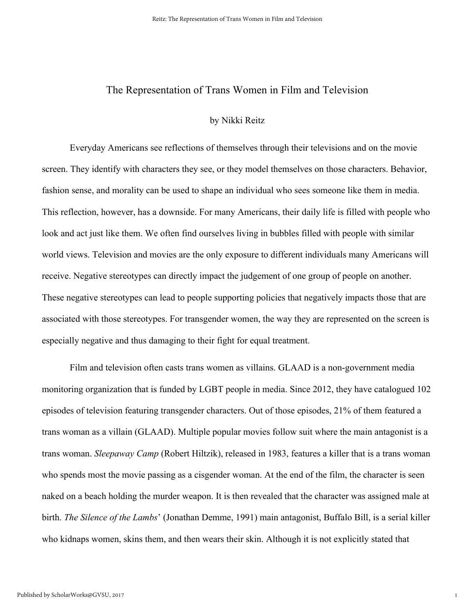### The Representation of Trans Women in Film and Television

#### by Nikki Reitz

Everyday Americans see reflections of themselves through their televisions and on the movie screen. They identify with characters they see, or they model themselves on those characters. Behavior, fashion sense, and morality can be used to shape an individual who sees someone like them in media. This reflection, however, has a downside. For many Americans, their daily life is filled with people who look and act just like them. We often find ourselves living in bubbles filled with people with similar world views. Television and movies are the only exposure to different individuals many Americans will receive. Negative stereotypes can directly impact the judgement of one group of people on another. These negative stereotypes can lead to people supporting policies that negatively impacts those that are associated with those stereotypes. For transgender women, the way they are represented on the screen is especially negative and thus damaging to their fight for equal treatment.

Film and television often casts trans women as villains. GLAAD is a non-government media monitoring organization that is funded by LGBT people in media. Since 2012, they have catalogued 102 episodes of television featuring transgender characters. Out of those episodes, 21% of them featured a trans woman as a villain (GLAAD). Multiple popular movies follow suit where the main antagonist is a trans woman. *Sleepaway Camp* (Robert Hiltzik), released in 1983, features a killer that is a trans woman who spends most the movie passing as a cisgender woman. At the end of the film, the character is seen naked on a beach holding the murder weapon. It is then revealed that the character was assigned male at birth. *The Silence of the Lambs*' (Jonathan Demme, 1991) main antagonist, Buffalo Bill, is a serial killer who kidnaps women, skins them, and then wears their skin. Although it is not explicitly stated that

1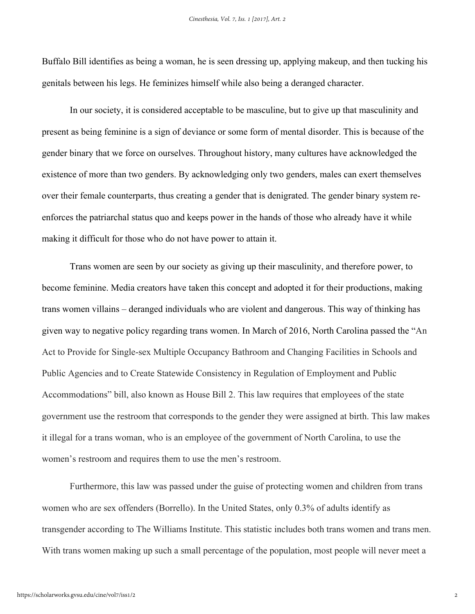Buffalo Bill identifies as being a woman, he is seen dressing up, applying makeup, and then tucking his genitals between his legs. He feminizes himself while also being a deranged character.

In our society, it is considered acceptable to be masculine, but to give up that masculinity and present as being feminine is a sign of deviance or some form of mental disorder. This is because of the gender binary that we force on ourselves. Throughout history, many cultures have acknowledged the existence of more than two genders. By acknowledging only two genders, males can exert themselves over their female counterparts, thus creating a gender that is denigrated. The gender binary system reenforces the patriarchal status quo and keeps power in the hands of those who already have it while making it difficult for those who do not have power to attain it.

Trans women are seen by our society as giving up their masculinity, and therefore power, to become feminine. Media creators have taken this concept and adopted it for their productions, making trans women villains – deranged individuals who are violent and dangerous. This way of thinking has given way to negative policy regarding trans women. In March of 2016, North Carolina passed the "An Act to Provide for Single-sex Multiple Occupancy Bathroom and Changing Facilities in Schools and Public Agencies and to Create Statewide Consistency in Regulation of Employment and Public Accommodations" bill, also known as House Bill 2. This law requires that employees of the state government use the restroom that corresponds to the gender they were assigned at birth. This law makes it illegal for a trans woman, who is an employee of the government of North Carolina, to use the women's restroom and requires them to use the men's restroom.

Furthermore, this law was passed under the guise of protecting women and children from trans women who are sex offenders (Borrello). In the United States, only 0.3% of adults identify as transgender according to The Williams Institute. This statistic includes both trans women and trans men. With trans women making up such a small percentage of the population, most people will never meet a

2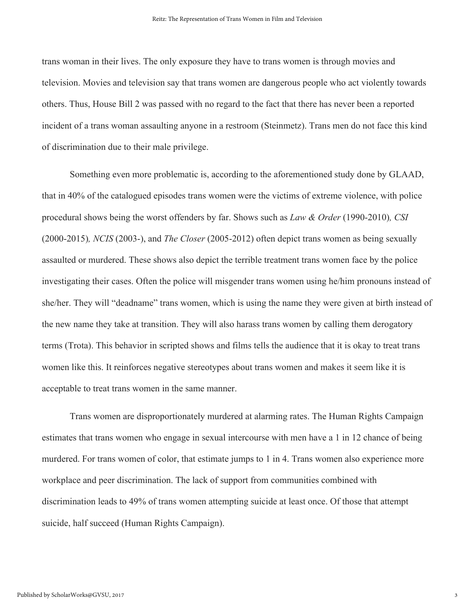trans woman in their lives. The only exposure they have to trans women is through movies and television. Movies and television say that trans women are dangerous people who act violently towards others. Thus, House Bill 2 was passed with no regard to the fact that there has never been a reported incident of a trans woman assaulting anyone in a restroom (Steinmetz). Trans men do not face this kind of discrimination due to their male privilege.

Something even more problematic is, according to the aforementioned study done by GLAAD, that in 40% of the catalogued episodes trans women were the victims of extreme violence, with police procedural shows being the worst offenders by far. Shows such as *Law & Order* (1990-2010)*, CSI* (2000-2015)*, NCIS* (2003-), and *The Closer* (2005-2012) often depict trans women as being sexually assaulted or murdered. These shows also depict the terrible treatment trans women face by the police investigating their cases. Often the police will misgender trans women using he/him pronouns instead of she/her. They will "deadname" trans women, which is using the name they were given at birth instead of the new name they take at transition. They will also harass trans women by calling them derogatory terms (Trota). This behavior in scripted shows and films tells the audience that it is okay to treat trans women like this. It reinforces negative stereotypes about trans women and makes it seem like it is acceptable to treat trans women in the same manner.

Trans women are disproportionately murdered at alarming rates. The Human Rights Campaign estimates that trans women who engage in sexual intercourse with men have a 1 in 12 chance of being murdered. For trans women of color, that estimate jumps to 1 in 4. Trans women also experience more workplace and peer discrimination. The lack of support from communities combined with discrimination leads to 49% of trans women attempting suicide at least once. Of those that attempt suicide, half succeed (Human Rights Campaign).

3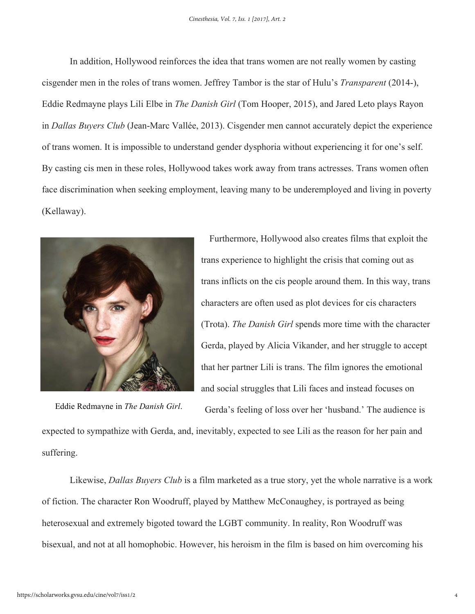In addition, Hollywood reinforces the idea that trans women are not really women by casting cisgender men in the roles of trans women. Jeffrey Tambor is the star of Hulu's *Transparent* (2014-), Eddie Redmayne plays Lili Elbe in *The Danish Girl* (Tom Hooper, 2015), and Jared Leto plays Rayon in *Dallas Buyers Club* (Jean-Marc Vallée, 2013). Cisgender men cannot accurately depict the experience of trans women. It is impossible to understand gender dysphoria without experiencing it for one's self. By casting cis men in these roles, Hollywood takes work away from trans actresses. Trans women often face discrimination when seeking employment, leaving many to be underemployed and living in poverty (Kellaway).



Furthermore, Hollywood also creates films that exploit the trans experience to highlight the crisis that coming out as trans inflicts on the cis people around them. In this way, trans characters are often used as plot devices for cis characters (Trota). *The Danish Girl* spends more time with the character Gerda, played by Alicia Vikander, and her struggle to accept that her partner Lili is trans. The film ignores the emotional and social struggles that Lili faces and instead focuses on

Gerda's feeling of loss over her 'husband.' The audience is expected to sympathize with Gerda, and, inevitably, expected to see Lili as the reason for her pain and suffering. Eddie Redmayne in *The Danish Girl*.

Likewise, *Dallas Buyers Club* is a film marketed as a true story, yet the whole narrative is a work of fiction. The character Ron Woodruff, played by Matthew McConaughey, is portrayed as being heterosexual and extremely bigoted toward the LGBT community. In reality, Ron Woodruff was bisexual, and not at all homophobic. However, his heroism in the film is based on him overcoming his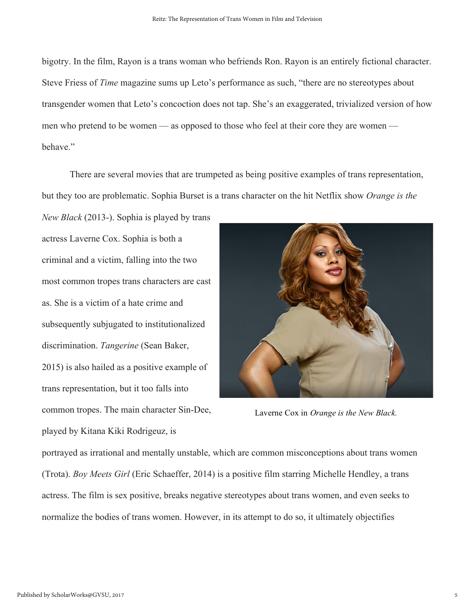bigotry. In the film, Rayon is a trans woman who befriends Ron. Rayon is an entirely fictional character. Steve Friess of *Time* magazine sums up Leto's performance as such, "there are no stereotypes about transgender women that Leto's concoction does not tap. She's an exaggerated, trivialized version of how men who pretend to be women — as opposed to those who feel at their core they are women behave."

There are several movies that are trumpeted as being positive examples of trans representation, but they too are problematic. Sophia Burset is a trans character on the hit Netflix show *Orange is the* 

*New Black* (2013-). Sophia is played by trans actress Laverne Cox. Sophia is both a criminal and a victim, falling into the two most common tropes trans characters are cast as. She is a victim of a hate crime and subsequently subjugated to institutionalized discrimination. *Tangerine* (Sean Baker, 2015) is also hailed as a positive example of trans representation, but it too falls into common tropes. The main character Sin-Dee, played by Kitana Kiki Rodrigeuz, is



Laverne Cox in *Orange is the New Black.*

portrayed as irrational and mentally unstable, which are common misconceptions about trans women (Trota). *Boy Meets Girl* (Eric Schaeffer, 2014) is a positive film starring Michelle Hendley, a trans actress. The film is sex positive, breaks negative stereotypes about trans women, and even seeks to normalize the bodies of trans women. However, in its attempt to do so, it ultimately objectifies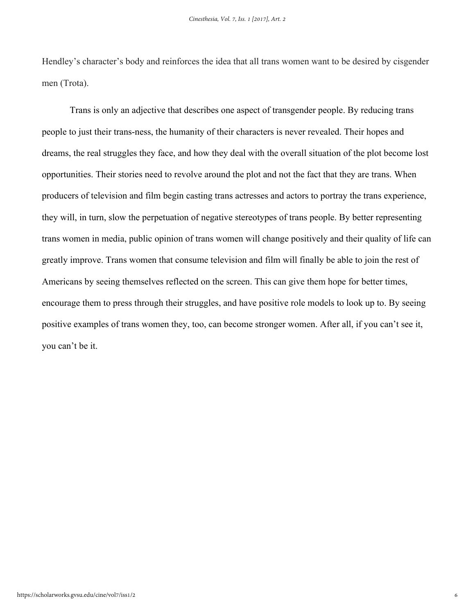Hendley's character's body and reinforces the idea that all trans women want to be desired by cisgender men (Trota).

Trans is only an adjective that describes one aspect of transgender people. By reducing trans people to just their trans-ness, the humanity of their characters is never revealed. Their hopes and dreams, the real struggles they face, and how they deal with the overall situation of the plot become lost opportunities. Their stories need to revolve around the plot and not the fact that they are trans. When producers of television and film begin casting trans actresses and actors to portray the trans experience, they will, in turn, slow the perpetuation of negative stereotypes of trans people. By better representing trans women in media, public opinion of trans women will change positively and their quality of life can greatly improve. Trans women that consume television and film will finally be able to join the rest of Americans by seeing themselves reflected on the screen. This can give them hope for better times, encourage them to press through their struggles, and have positive role models to look up to. By seeing positive examples of trans women they, too, can become stronger women. After all, if you can't see it, you can't be it.